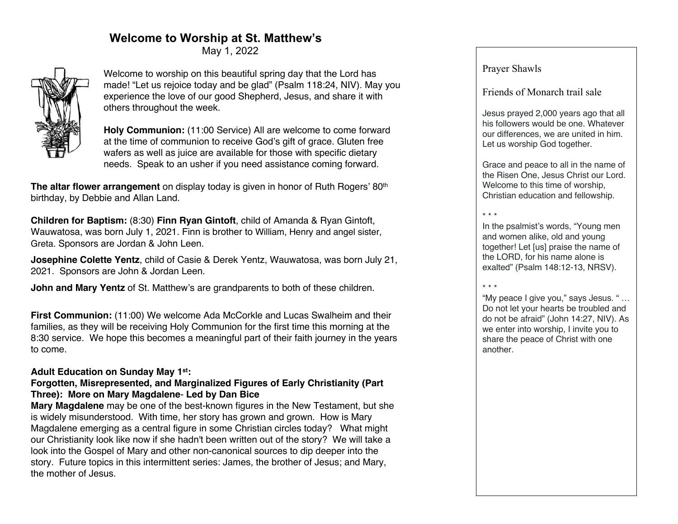# **Welcome to Worship at St. Matthew's**

May 1, 2022



Welcome to worship on this beautiful spring day that the Lord has made! "Let us rejoice today and be glad" (Psalm 118:24, NIV). May you experience the love of our good Shepherd, Jesus, and share it with others throughout the week.

**Holy Communion:** (11:00 Service) All are welcome to come forward at the time of communion to receive God's gift of grace. Gluten free wafers as well as juice are available for those with specific dietary needs. Speak to an usher if you need assistance coming forward.

**The altar flower arrangement** on display today is given in honor of Ruth Rogers' 80<sup>th</sup> birthday, by Debbie and Allan Land.

**Children for Baptism:** (8:30) **Finn Ryan Gintoft**, child of Amanda & Ryan Gintoft, Wauwatosa, was born July 1, 2021. Finn is brother to William, Henry and angel sister, Greta. Sponsors are Jordan & John Leen.

**Josephine Colette Yentz**, child of Casie & Derek Yentz, Wauwatosa, was born July 21, 2021. Sponsors are John & Jordan Leen.

**John and Mary Yentz** of St. Matthew's are grandparents to both of these children.

**First Communion:** (11:00) We welcome Ada McCorkle and Lucas Swalheim and their families, as they will be receiving Holy Communion for the first time this morning at the 8:30 service. We hope this becomes a meaningful part of their faith journey in the years to come.

## **Adult Education on Sunday May 1st:**

## **Forgotten, Misrepresented, and Marginalized Figures of Early Christianity (Part Three): More on Mary Magdalene**- **Led by Dan Bice**

**Mary Magdalene** may be one of the best-known figures in the New Testament, but she is widely misunderstood. With time, her story has grown and grown. How is Mary Magdalene emerging as a central figure in some Christian circles today? What might our Christianity look like now if she hadn't been written out of the story? We will take a look into the Gospel of Mary and other non-canonical sources to dip deeper into the story. Future topics in this intermittent series: James, the brother of Jesus; and Mary, the mother of Jesus.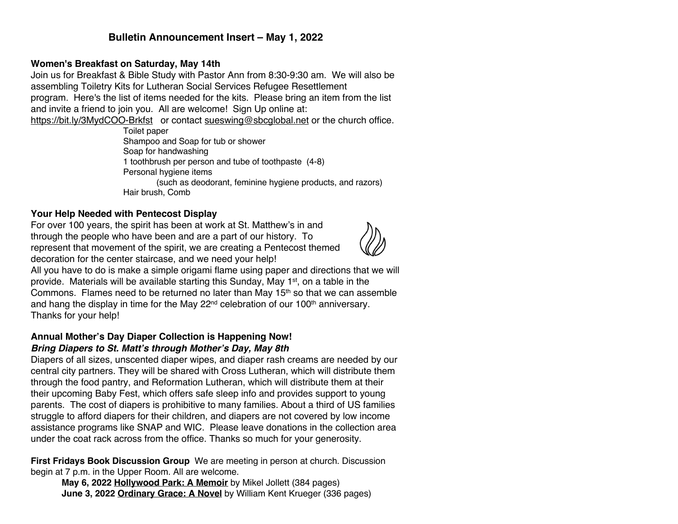## **Bulletin Announcement Insert – May 1, 2022**

#### **Women's Breakfast on Saturday, May 14th**

Join us for Breakfast & Bible Study with Pastor Ann from 8:30-9:30 am. We will also be assembling Toiletry Kits for Lutheran Social Services Refugee Resettlement

program. Here's the list of items needed for the kits. Please bring an item from the list and invite a friend to join you. All are welcome! Sign Up online at:

https://bit.ly/3MydCOO-Brkfst or contact sueswing@sbcqlobal.net or the church office.

Toilet paper Shampoo and Soap for tub or shower Soap for handwashing 1 toothbrush per person and tube of toothpaste (4-8) Personal hygiene items (such as deodorant, feminine hygiene products, and razors) Hair brush, Comb

#### **Your Help Needed with Pentecost Display**

For over 100 years, the spirit has been at work at St. Matthew's in and through the people who have been and are a part of our history. To represent that movement of the spirit, we are creating a Pentecost themed decoration for the center staircase, and we need your help!



All you have to do is make a simple origami flame using paper and directions that we will provide. Materials will be available starting this Sunday, May 1<sup>st</sup>, on a table in the Commons. Flames need to be returned no later than May  $15<sup>th</sup>$  so that we can assemble and hang the display in time for the May  $22<sup>nd</sup>$  celebration of our 100<sup>th</sup> anniversary. Thanks for your help!

#### **Annual Mother's Day Diaper Collection is Happening Now!** *Bring Diapers to St. Matt's through Mother's Day, May 8th*

Diapers of all sizes, unscented diaper wipes, and diaper rash creams are needed by our central city partners. They will be shared with Cross Lutheran, which will distribute them through the food pantry, and Reformation Lutheran, which will distribute them at their their upcoming Baby Fest, which offers safe sleep info and provides support to young parents. The cost of diapers is prohibitive to many families. About a third of US families struggle to afford diapers for their children, and diapers are not covered by low income assistance programs like SNAP and WIC. Please leave donations in the collection area under the coat rack across from the office. Thanks so much for your generosity.

**First Fridays Book Discussion Group** We are meeting in person at church. Discussion begin at 7 p.m. in the Upper Room. All are welcome.

**May 6, 2022 Hollywood Park: A Memoir** by Mikel Jollett (384 pages) **June 3, 2022 Ordinary Grace: A Novel** by William Kent Krueger (336 pages)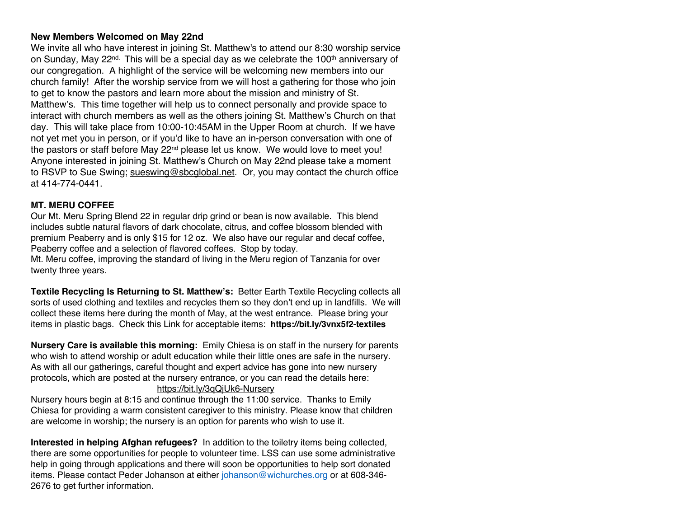#### **New Members Welcomed on May 22nd**

We invite all who have interest in joining St. Matthew's to attend our 8:30 worship service on Sunday, May  $22^{nd}$ . This will be a special day as we celebrate the 100<sup>th</sup> anniversary of our congregation. A highlight of the service will be welcoming new members into our church family! After the worship service from we will host a gathering for those who join to get to know the pastors and learn more about the mission and ministry of St. Matthew's. This time together will help us to connect personally and provide space to interact with church members as well as the others joining St. Matthew's Church on that day. This will take place from 10:00-10:45AM in the Upper Room at church. If we have not yet met you in person, or if you'd like to have an in-person conversation with one of the pastors or staff before May 22<sup>nd</sup> please let us know. We would love to meet you! Anyone interested in joining St. Matthew's Church on May 22nd please take a moment to RSVP to Sue Swing; sueswing@sbcglobal.net. Or, you may contact the church office at 414-774-0441.

#### **MT. MERU COFFEE**

Our Mt. Meru Spring Blend 22 in regular drip grind or bean is now available. This blend includes subtle natural flavors of dark chocolate, citrus, and coffee blossom blended with premium Peaberry and is only \$15 for 12 oz. We also have our regular and decaf coffee, Peaberry coffee and a selection of flavored coffees. Stop by today.

Mt. Meru coffee, improving the standard of living in the Meru region of Tanzania for over twenty three years.

**Textile Recycling Is Returning to St. Matthew's:** Better Earth Textile Recycling collects all sorts of used clothing and textiles and recycles them so they don't end up in landfills. We will collect these items here during the month of May, at the west entrance. Please bring your items in plastic bags. Check this Link for acceptable items: **https://bit.ly/3vnx5f2-textiles**

**Nursery Care is available this morning:** Emily Chiesa is on staff in the nursery for parents who wish to attend worship or adult education while their little ones are safe in the nursery. As with all our gatherings, careful thought and expert advice has gone into new nursery protocols, which are posted at the nursery entrance, or you can read the details here: https://bit.ly/3qQjUk6-Nursery

Nursery hours begin at 8:15 and continue through the 11:00 service. Thanks to Emily Chiesa for providing a warm consistent caregiver to this ministry. Please know that children are welcome in worship; the nursery is an option for parents who wish to use it.

**Interested in helping Afghan refugees?** In addition to the toiletry items being collected, there are some opportunities for people to volunteer time. LSS can use some administrative help in going through applications and there will soon be opportunities to help sort donated items. Please contact Peder Johanson at either johanson@wichurches.org or at 608-346- 2676 to get further information.